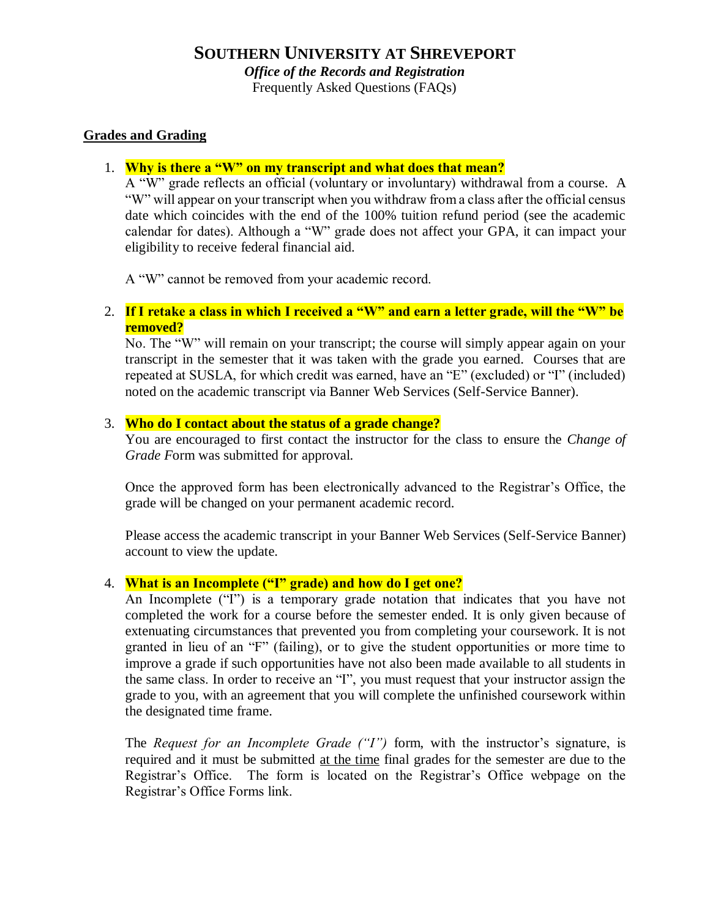Frequently Asked Questions (FAQs)

# **Grades and Grading**

### 1. **Why is there a "W" on my transcript and what does that mean?**

A "W" grade reflects an official (voluntary or involuntary) withdrawal from a course. A "W" will appear on your transcript when you withdraw from a class after the official census date which coincides with the end of the 100% tuition refund period (see the academic calendar for dates). Although a "W" grade does not affect your GPA, it can impact your eligibility to receive federal financial aid.

A "W" cannot be removed from your academic record.

### 2. **If I retake a class in which I received a "W" and earn a letter grade, will the "W" be removed?**

No. The "W" will remain on your transcript; the course will simply appear again on your transcript in the semester that it was taken with the grade you earned. Courses that are repeated at SUSLA, for which credit was earned, have an "E" (excluded) or "I" (included) noted on the academic transcript via Banner Web Services (Self-Service Banner).

### 3. **Who do I contact about the status of a grade change?**

You are encouraged to first contact the instructor for the class to ensure the *Change of Grade F*orm was submitted for approval.

Once the approved form has been electronically advanced to the Registrar's Office, the grade will be changed on your permanent academic record.

Please access the academic transcript in your Banner Web Services (Self-Service Banner) account to view the update.

### 4. **What is an Incomplete ("I" grade) and how do I get one?**

An Incomplete ("I") is a temporary grade notation that indicates that you have not completed the work for a course before the semester ended. It is only given because of extenuating circumstances that prevented you from completing your coursework. It is not granted in lieu of an "F" (failing), or to give the student opportunities or more time to improve a grade if such opportunities have not also been made available to all students in the same class. In order to receive an "I", you must request that your instructor assign the grade to you, with an agreement that you will complete the unfinished coursework within the designated time frame.

The *Request for an Incomplete Grade ("I")* form, with the instructor's signature, is required and it must be submitted at the time final grades for the semester are due to the Registrar's Office. The form is located on the Registrar's Office webpage on the Registrar's Office Forms link.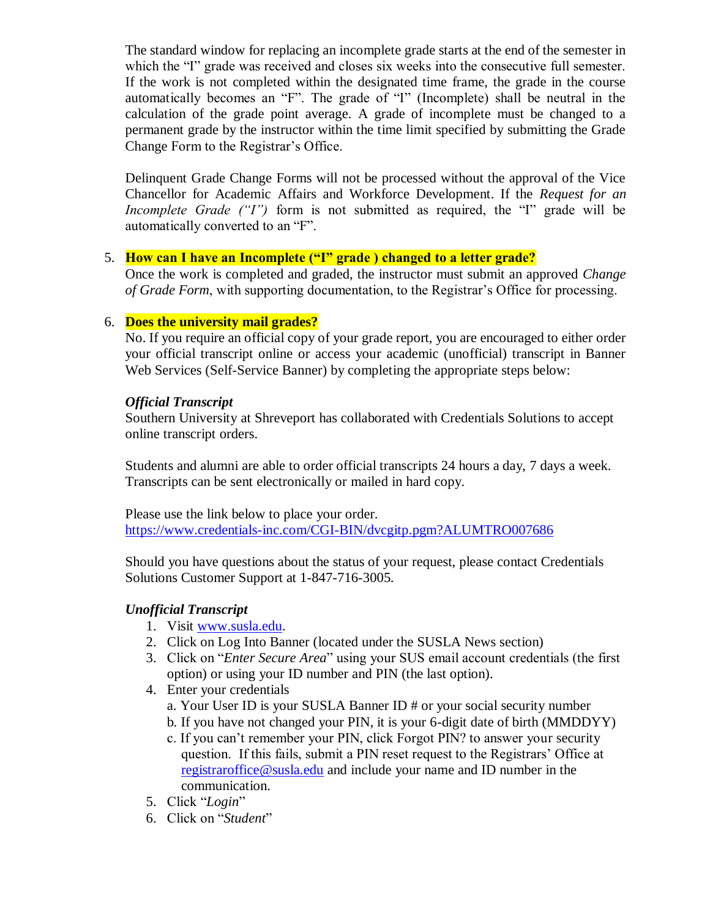The standard window for replacing an incomplete grade starts at the end of the semester in which the "I" grade was received and closes six weeks into the consecutive full semester. If the work is not completed within the designated time frame, the grade in the course automatically becomes an "F". The grade of "I" (Incomplete) shall be neutral in the calculation of the grade point average. A grade of incomplete must be changed to a permanent grade by the instructor within the time limit specified by submitting the Grade Change Form to the Registrar's Office.

Delinquent Grade Change Forms will not be processed without the approval of the Vice Chancellor for Academic Affairs and Workforce Development. If the *Request for an Incomplete Grade ("I")* form is not submitted as required, the "I" grade will be automatically converted to an "F".

# 5. **How can I have an Incomplete ("I" grade ) changed to a letter grade?**

Once the work is completed and graded, the instructor must submit an approved *Change of Grade Form*, with supporting documentation, to the Registrar's Office for processing.

# 6. **Does the university mail grades?**

No. If you require an official copy of your grade report, you are encouraged to either order your official transcript online or access your academic (unofficial) transcript in Banner Web Services (Self-Service Banner) by completing the appropriate steps below:

### *Official Transcript*

Southern University at Shreveport has collaborated with Credentials Solutions to accept online transcript orders.

Students and alumni are able to order official transcripts 24 hours a day, 7 days a week. Transcripts can be sent electronically or mailed in hard copy.

Please use the link below to place your order. <https://www.credentials-inc.com/CGI-BIN/dvcgitp.pgm?ALUMTRO007686>

Should you have questions about the status of your request, please contact Credentials Solutions Customer Support at 1-847-716-3005.

### *Unofficial Transcript*

- 1. Visit [www.susla.edu.](http://www.susla.edu/)
- 2. Click on Log Into Banner (located under the SUSLA News section)
- 3. Click on "*Enter Secure Area*" using your SUS email account credentials (the first option) or using your ID number and PIN (the last option).
- 4. Enter your credentials
	- a. Your User ID is your SUSLA Banner ID # or your social security number
	- b. If you have not changed your PIN, it is your 6-digit date of birth (MMDDYY)
	- c. If you can't remember your PIN, click Forgot PIN? to answer your security question. If this fails, submit a PIN reset request to the Registrars' Office at [registraroffice@susla.edu](mailto:registraroffice@susla.edu) and include your name and ID number in the communication.
- 5. Click "*Login*"
- 6. Click on "*Student*"